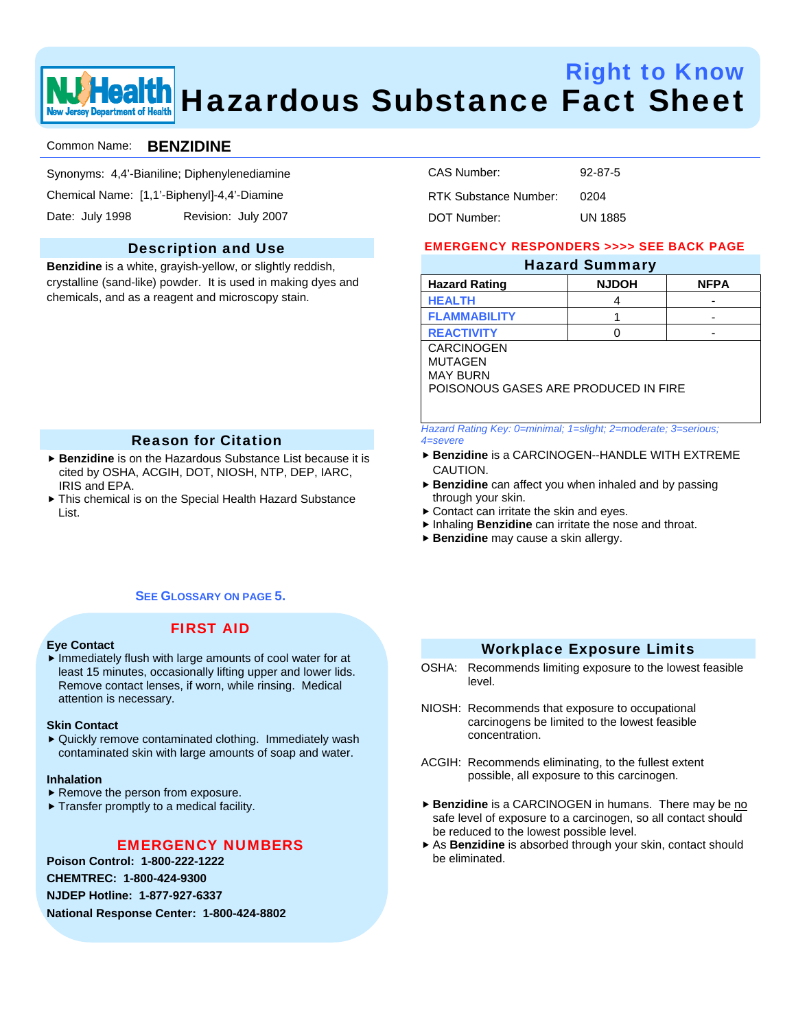

# Right to Know ealth Hazardous Substance Fact Sheet

#### Common Name: **BENZIDINE**

Synonyms: 4,4'-Bianiline; Diphenylenediamine Chemical Name: [1,1'-Biphenyl]-4,4'-Diamine

Date: July 1998 Revision: July 2007

#### Description and Use

**Benzidine** is a white, grayish-yellow, or slightly reddish, crystalline (sand-like) powder. It is used in making dyes and chemicals, and as a reagent and microscopy stain.

#### Reason for Citation

- ▶ Benzidine is on the Hazardous Substance List because it is cited by OSHA, ACGIH, DOT, NIOSH, NTP, DEP, IARC, IRIS and EPA.
- $\blacktriangleright$  This chemical is on the Special Health Hazard Substance List.

#### **SEE GLOSSARY ON PAGE 5.**

FIRST AID

#### **Eye Contact**

 $\blacktriangleright$  Immediately flush with large amounts of cool water for at least 15 minutes, occasionally lifting upper and lower lids. Remove contact lenses, if worn, while rinsing. Medical attention is necessary.

#### **Skin Contact**

 $\blacktriangleright$  Quickly remove contaminated clothing. Immediately wash contaminated skin with large amounts of soap and water.

#### **Inhalation**

- $\blacktriangleright$  Remove the person from exposure.
- $\blacktriangleright$  Transfer promptly to a medical facility.

#### EMERGENCY NUMBERS

**Poison Control: 1-800-222-1222 CHEMTREC: 1-800-424-9300 NJDEP Hotline: 1-877-927-6337 National Response Center: 1-800-424-8802** 

| CAS Number:           | $92 - 87 - 5$  |
|-----------------------|----------------|
| RTK Substance Number: | 0204           |
| DOT Number:           | <b>UN 1885</b> |

#### EMERGENCY RESPONDERS >>>> SEE BACK PAGE

| <b>Hazard Summary</b>                                                                          |              |             |
|------------------------------------------------------------------------------------------------|--------------|-------------|
| <b>Hazard Rating</b>                                                                           | <b>NJDOH</b> | <b>NFPA</b> |
| <b>HEALTH</b>                                                                                  |              |             |
| <b>FLAMMABILITY</b>                                                                            |              |             |
| <b>REACTIVITY</b>                                                                              |              |             |
| <b>CARCINOGEN</b><br><b>MUTAGEN</b><br><b>MAY BURN</b><br>POISONOUS GASES ARE PRODUCED IN FIRE |              |             |

#### *Hazard Rating Key: 0=minimal; 1=slight; 2=moderate; 3=serious; 4=severe*

- **Benzidine** is a CARCINOGEN--HANDLE WITH EXTREME CAUTION.
- **Benzidine** can affect you when inhaled and by passing through your skin.
- $\triangleright$  Contact can irritate the skin and eyes.
- **F** Inhaling **Benzidine** can irritate the nose and throat.
- **Benzidine** may cause a skin allergy.

#### Workplace Exposure Limits

- OSHA: Recommends limiting exposure to the lowest feasible level.
- NIOSH: Recommends that exposure to occupational carcinogens be limited to the lowest feasible concentration.
- ACGIH: Recommends eliminating, to the fullest extent possible, all exposure to this carcinogen.
- ► Benzidine is a CARCINOGEN in humans. There may be no safe level of exposure to a carcinogen, so all contact should be reduced to the lowest possible level.
- As **Benzidine** is absorbed through your skin, contact should be eliminated.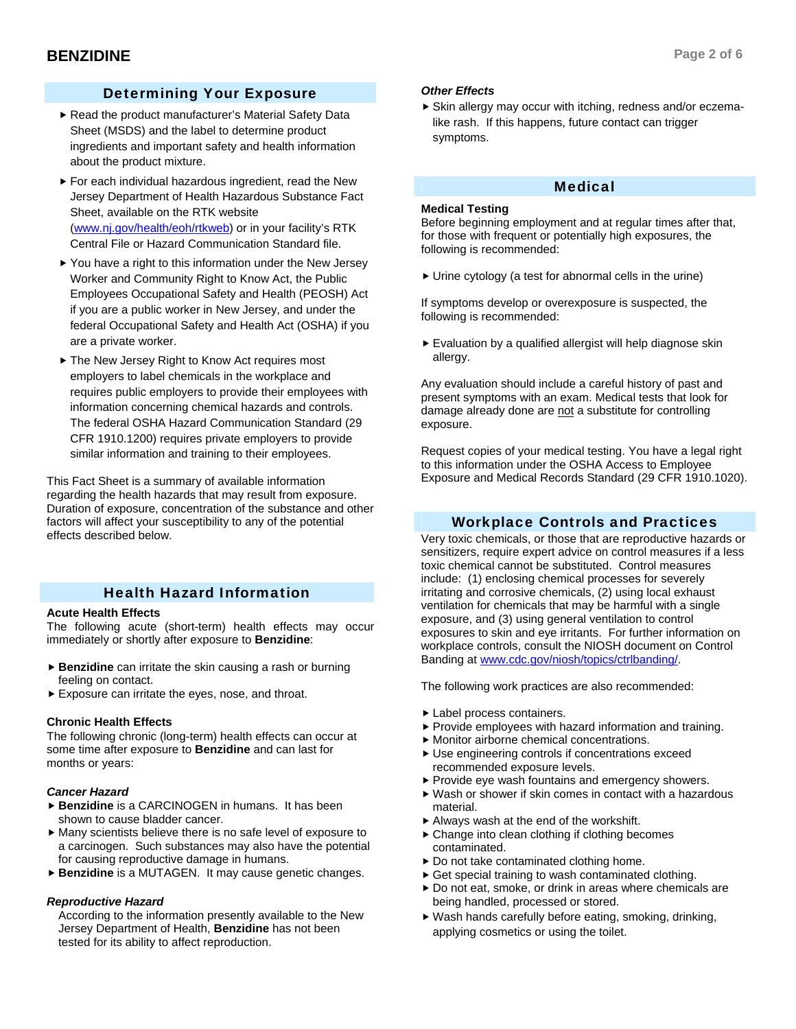### Determining Your Exposure

- Read the product manufacturer's Material Safety Data Sheet (MSDS) and the label to determine product ingredients and important safety and health information about the product mixture.
- $\blacktriangleright$  For each individual hazardous ingredient, read the New Jersey Department of Health Hazardous Substance Fact Sheet, available on the RTK website (www.nj.gov/health/eoh/rtkweb) or in your facility's RTK Central File or Hazard Communication Standard file.
- $\blacktriangleright$  You have a right to this information under the New Jersey Worker and Community Right to Know Act, the Public Employees Occupational Safety and Health (PEOSH) Act if you are a public worker in New Jersey, and under the federal Occupational Safety and Health Act (OSHA) if you are a private worker.
- ▶ The New Jersey Right to Know Act requires most employers to label chemicals in the workplace and requires public employers to provide their employees with information concerning chemical hazards and controls. The federal OSHA Hazard Communication Standard (29 CFR 1910.1200) requires private employers to provide similar information and training to their employees.

This Fact Sheet is a summary of available information regarding the health hazards that may result from exposure. Duration of exposure, concentration of the substance and other factors will affect your susceptibility to any of the potential effects described below.

# Health Hazard Information

#### **Acute Health Effects**

The following acute (short-term) health effects may occur immediately or shortly after exposure to **Benzidine**:

- **► Benzidine** can irritate the skin causing a rash or burning feeling on contact.
- Exposure can irritate the eyes, nose, and throat.

#### **Chronic Health Effects**

The following chronic (long-term) health effects can occur at some time after exposure to **Benzidine** and can last for months or years:

#### *Cancer Hazard*

- **► Benzidine** is a CARCINOGEN in humans. It has been shown to cause bladder cancer.
- $\blacktriangleright$  Many scientists believe there is no safe level of exposure to a carcinogen. Such substances may also have the potential for causing reproductive damage in humans.
- **Benzidine** is a MUTAGEN. It may cause genetic changes.

#### *Reproductive Hazard*

According to the information presently available to the New Jersey Department of Health, **Benzidine** has not been tested for its ability to affect reproduction.

#### *Other Effects*

▶ Skin allergy may occur with itching, redness and/or eczemalike rash. If this happens, future contact can trigger symptoms.

#### Medical

#### **Medical Testing**

Before beginning employment and at regular times after that, for those with frequent or potentially high exposures, the following is recommended:

 $\blacktriangleright$  Urine cytology (a test for abnormal cells in the urine)

If symptoms develop or overexposure is suspected, the following is recommended:

 $\blacktriangleright$  Evaluation by a qualified allergist will help diagnose skin allergy.

Any evaluation should include a careful history of past and present symptoms with an exam. Medical tests that look for damage already done are not a substitute for controlling exposure.

Request copies of your medical testing. You have a legal right to this information under the OSHA Access to Employee Exposure and Medical Records Standard (29 CFR 1910.1020).

#### Workplace Controls and Practices

Very toxic chemicals, or those that are reproductive hazards or sensitizers, require expert advice on control measures if a less toxic chemical cannot be substituted. Control measures include: (1) enclosing chemical processes for severely irritating and corrosive chemicals, (2) using local exhaust ventilation for chemicals that may be harmful with a single exposure, and (3) using general ventilation to control exposures to skin and eye irritants. For further information on workplace controls, consult the NIOSH document on Control Banding at www.cdc.gov/niosh/topics/ctrlbanding/.

The following work practices are also recommended:

- $\blacktriangleright$  Label process containers.
- $\blacktriangleright$  Provide employees with hazard information and training.
- $\blacktriangleright$  Monitor airborne chemical concentrations.
- $\blacktriangleright$  Use engineering controls if concentrations exceed recommended exposure levels.
- $\blacktriangleright$  Provide eye wash fountains and emergency showers.
- $\blacktriangleright$  Wash or shower if skin comes in contact with a hazardous material.
- $\blacktriangleright$  Always wash at the end of the workshift.
- $\blacktriangleright$  Change into clean clothing if clothing becomes contaminated.
- $\blacktriangleright$  Do not take contaminated clothing home.
- $\blacktriangleright$  Get special training to wash contaminated clothing.
- $\triangleright$  Do not eat, smoke, or drink in areas where chemicals are being handled, processed or stored.
- $\blacktriangleright$  Wash hands carefully before eating, smoking, drinking, applying cosmetics or using the toilet.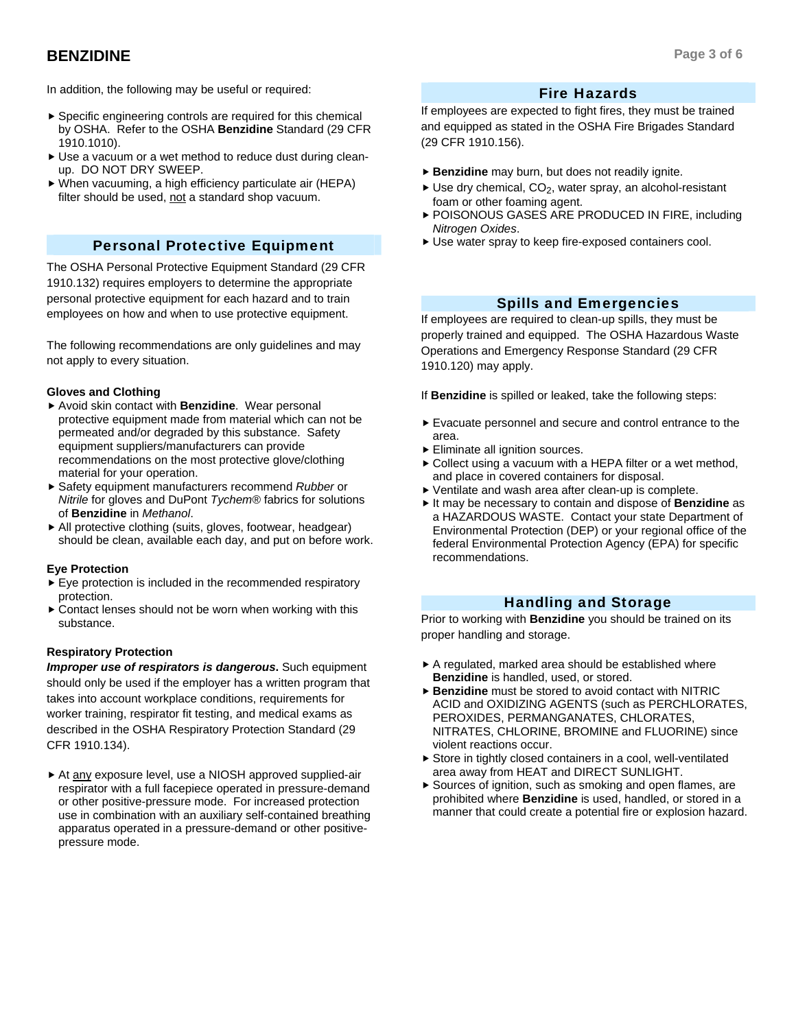# **BENZIDINE** Page 3 of 6

In addition, the following may be useful or required:

- $\triangleright$  Specific engineering controls are required for this chemical by OSHA. Refer to the OSHA **Benzidine** Standard (29 CFR 1910.1010).
- Use a vacuum or a wet method to reduce dust during cleanup. DO NOT DRY SWEEP.
- $\triangleright$  When vacuuming, a high efficiency particulate air (HEPA) filter should be used, not a standard shop vacuum.

#### Personal Protective Equipment

The OSHA Personal Protective Equipment Standard (29 CFR 1910.132) requires employers to determine the appropriate personal protective equipment for each hazard and to train employees on how and when to use protective equipment.

The following recommendations are only guidelines and may not apply to every situation.

#### **Gloves and Clothing**

- ▶ Avoid skin contact with **Benzidine**. Wear personal protective equipment made from material which can not be permeated and/or degraded by this substance. Safety equipment suppliers/manufacturers can provide recommendations on the most protective glove/clothing material for your operation.
- f Safety equipment manufacturers recommend *Rubber* or *Nitrile* for gloves and DuPont *Tychem®* fabrics for solutions of **Benzidine** in *Methanol*.
- $\blacktriangleright$  All protective clothing (suits, gloves, footwear, headgear) should be clean, available each day, and put on before work.

#### **Eye Protection**

- $\blacktriangleright$  Eye protection is included in the recommended respiratory protection.
- $\triangleright$  Contact lenses should not be worn when working with this substance.

#### **Respiratory Protection**

*Improper use of respirators is dangerous***.** Such equipment should only be used if the employer has a written program that takes into account workplace conditions, requirements for worker training, respirator fit testing, and medical exams as described in the OSHA Respiratory Protection Standard (29 CFR 1910.134).

▶ At any exposure level, use a NIOSH approved supplied-air respirator with a full facepiece operated in pressure-demand or other positive-pressure mode. For increased protection use in combination with an auxiliary self-contained breathing apparatus operated in a pressure-demand or other positivepressure mode.

### Fire Hazards

If employees are expected to fight fires, they must be trained and equipped as stated in the OSHA Fire Brigades Standard (29 CFR 1910.156).

- **Benzidine** may burn, but does not readily ignite.
- $\triangleright$  Use dry chemical, CO<sub>2</sub>, water spray, an alcohol-resistant foam or other foaming agent.
- ▶ POISONOUS GASES ARE PRODUCED IN FIRE, including *Nitrogen Oxides*.
- ▶ Use water spray to keep fire-exposed containers cool.

#### Spills and Emergencies

If employees are required to clean-up spills, they must be properly trained and equipped. The OSHA Hazardous Waste Operations and Emergency Response Standard (29 CFR 1910.120) may apply.

If **Benzidine** is spilled or leaked, take the following steps:

- $\blacktriangleright$  Evacuate personnel and secure and control entrance to the area.
- Eliminate all ignition sources.
- $\triangleright$  Collect using a vacuum with a HEPA filter or a wet method, and place in covered containers for disposal.
- $\blacktriangleright$  Ventilate and wash area after clean-up is complete.
- $\triangleright$  It may be necessary to contain and dispose of **Benzidine** as a HAZARDOUS WASTE. Contact your state Department of Environmental Protection (DEP) or your regional office of the federal Environmental Protection Agency (EPA) for specific recommendations.

#### Handling and Storage

Prior to working with **Benzidine** you should be trained on its proper handling and storage.

- $\blacktriangleright$  A regulated, marked area should be established where **Benzidine** is handled, used, or stored.
- **Benzidine** must be stored to avoid contact with NITRIC ACID and OXIDIZING AGENTS (such as PERCHLORATES, PEROXIDES, PERMANGANATES, CHLORATES, NITRATES, CHLORINE, BROMINE and FLUORINE) since violent reactions occur.
- $\triangleright$  Store in tightly closed containers in a cool, well-ventilated area away from HEAT and DIRECT SUNLIGHT.
- $\blacktriangleright$  Sources of ignition, such as smoking and open flames, are prohibited where **Benzidine** is used, handled, or stored in a manner that could create a potential fire or explosion hazard.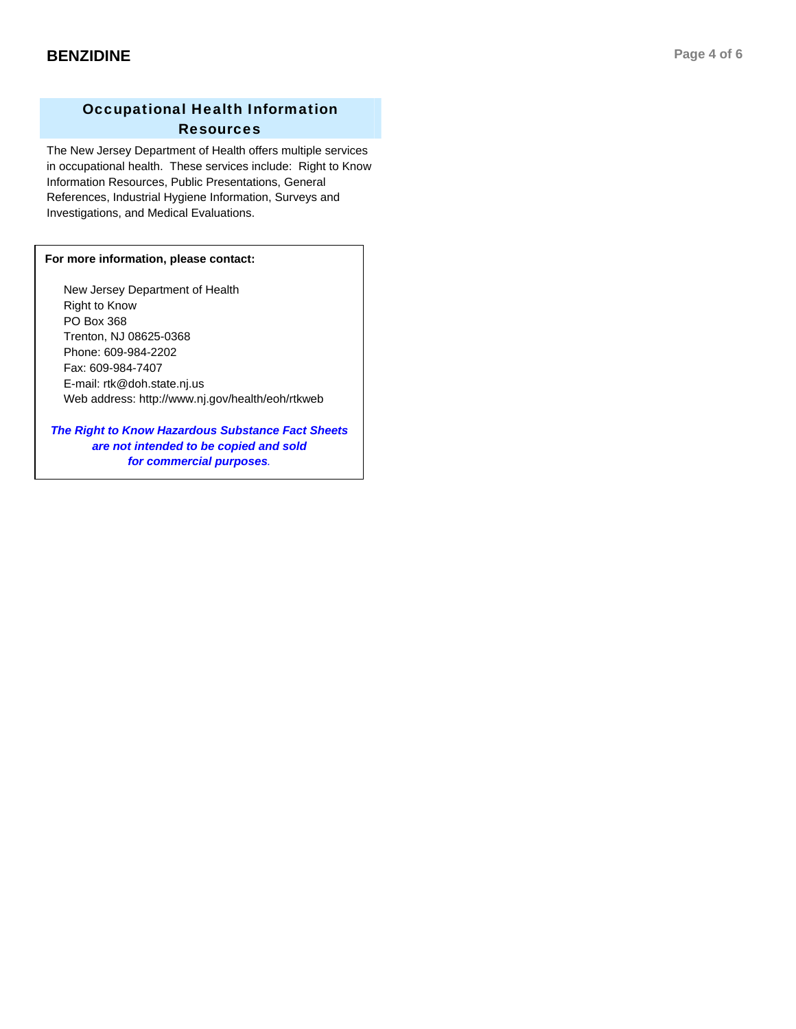# Occupational Health Information **Resources**

The New Jersey Department of Health offers multiple services in occupational health. These services include: Right to Know Information Resources, Public Presentations, General References, Industrial Hygiene Information, Surveys and Investigations, and Medical Evaluations.

#### **For more information, please contact:**

 New Jersey Department of Health Right to Know PO Box 368 Trenton, NJ 08625-0368 Phone: 609-984-2202 Fax: 609-984-7407 E-mail: rtk@doh.state.nj.us Web address: http://www.nj.gov/health/eoh/rtkweb

*The Right to Know Hazardous Substance Fact Sheets are not intended to be copied and sold for commercial purposes.*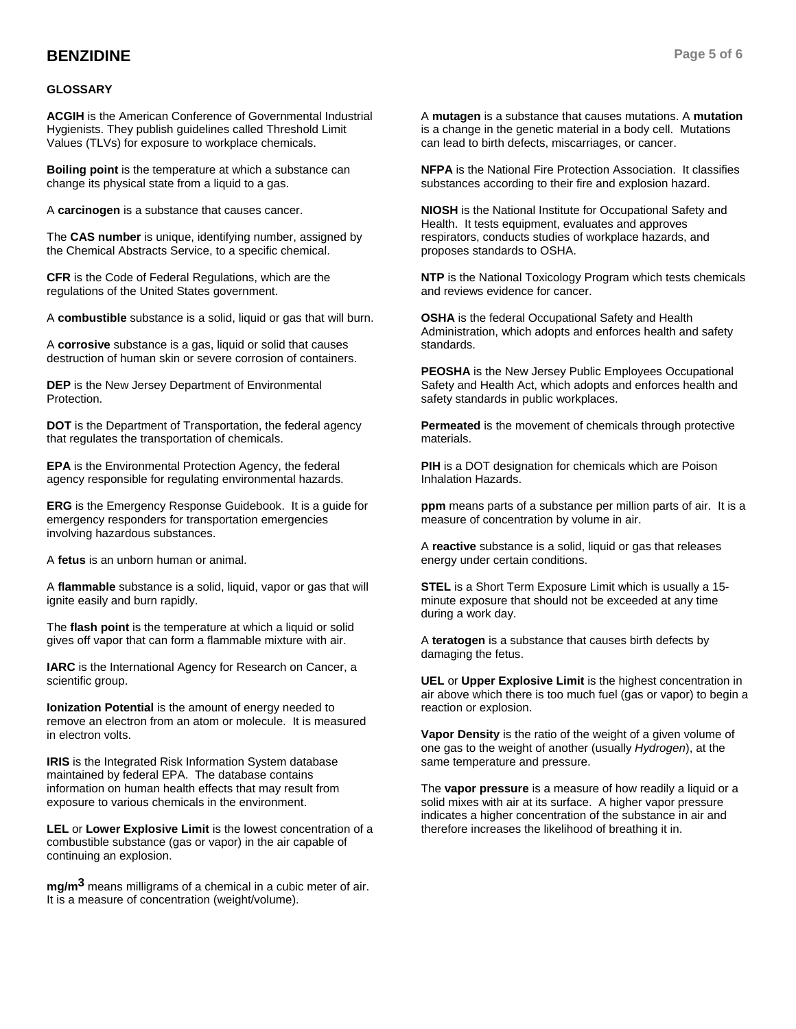#### **GLOSSARY**

**ACGIH** is the American Conference of Governmental Industrial Hygienists. They publish guidelines called Threshold Limit Values (TLVs) for exposure to workplace chemicals.

**Boiling point** is the temperature at which a substance can change its physical state from a liquid to a gas.

A **carcinogen** is a substance that causes cancer.

The **CAS number** is unique, identifying number, assigned by the Chemical Abstracts Service, to a specific chemical.

**CFR** is the Code of Federal Regulations, which are the regulations of the United States government.

A **combustible** substance is a solid, liquid or gas that will burn.

A **corrosive** substance is a gas, liquid or solid that causes destruction of human skin or severe corrosion of containers.

**DEP** is the New Jersey Department of Environmental Protection.

**DOT** is the Department of Transportation, the federal agency that regulates the transportation of chemicals.

**EPA** is the Environmental Protection Agency, the federal agency responsible for regulating environmental hazards.

**ERG** is the Emergency Response Guidebook. It is a guide for emergency responders for transportation emergencies involving hazardous substances.

A **fetus** is an unborn human or animal.

A **flammable** substance is a solid, liquid, vapor or gas that will ignite easily and burn rapidly.

The **flash point** is the temperature at which a liquid or solid gives off vapor that can form a flammable mixture with air.

**IARC** is the International Agency for Research on Cancer, a scientific group.

**Ionization Potential** is the amount of energy needed to remove an electron from an atom or molecule. It is measured in electron volts.

**IRIS** is the Integrated Risk Information System database maintained by federal EPA. The database contains information on human health effects that may result from exposure to various chemicals in the environment.

**LEL** or **Lower Explosive Limit** is the lowest concentration of a combustible substance (gas or vapor) in the air capable of continuing an explosion.

**mg/m3** means milligrams of a chemical in a cubic meter of air. It is a measure of concentration (weight/volume).

A **mutagen** is a substance that causes mutations. A **mutation** is a change in the genetic material in a body cell. Mutations can lead to birth defects, miscarriages, or cancer.

**NFPA** is the National Fire Protection Association. It classifies substances according to their fire and explosion hazard.

**NIOSH** is the National Institute for Occupational Safety and Health. It tests equipment, evaluates and approves respirators, conducts studies of workplace hazards, and proposes standards to OSHA.

**NTP** is the National Toxicology Program which tests chemicals and reviews evidence for cancer.

**OSHA** is the federal Occupational Safety and Health Administration, which adopts and enforces health and safety standards.

**PEOSHA** is the New Jersey Public Employees Occupational Safety and Health Act, which adopts and enforces health and safety standards in public workplaces.

**Permeated** is the movement of chemicals through protective materials.

**PIH** is a DOT designation for chemicals which are Poison Inhalation Hazards.

**ppm** means parts of a substance per million parts of air. It is a measure of concentration by volume in air.

A **reactive** substance is a solid, liquid or gas that releases energy under certain conditions.

**STEL** is a Short Term Exposure Limit which is usually a 15 minute exposure that should not be exceeded at any time during a work day.

A **teratogen** is a substance that causes birth defects by damaging the fetus.

**UEL** or **Upper Explosive Limit** is the highest concentration in air above which there is too much fuel (gas or vapor) to begin a reaction or explosion.

**Vapor Density** is the ratio of the weight of a given volume of one gas to the weight of another (usually *Hydrogen*), at the same temperature and pressure.

The **vapor pressure** is a measure of how readily a liquid or a solid mixes with air at its surface. A higher vapor pressure indicates a higher concentration of the substance in air and therefore increases the likelihood of breathing it in.